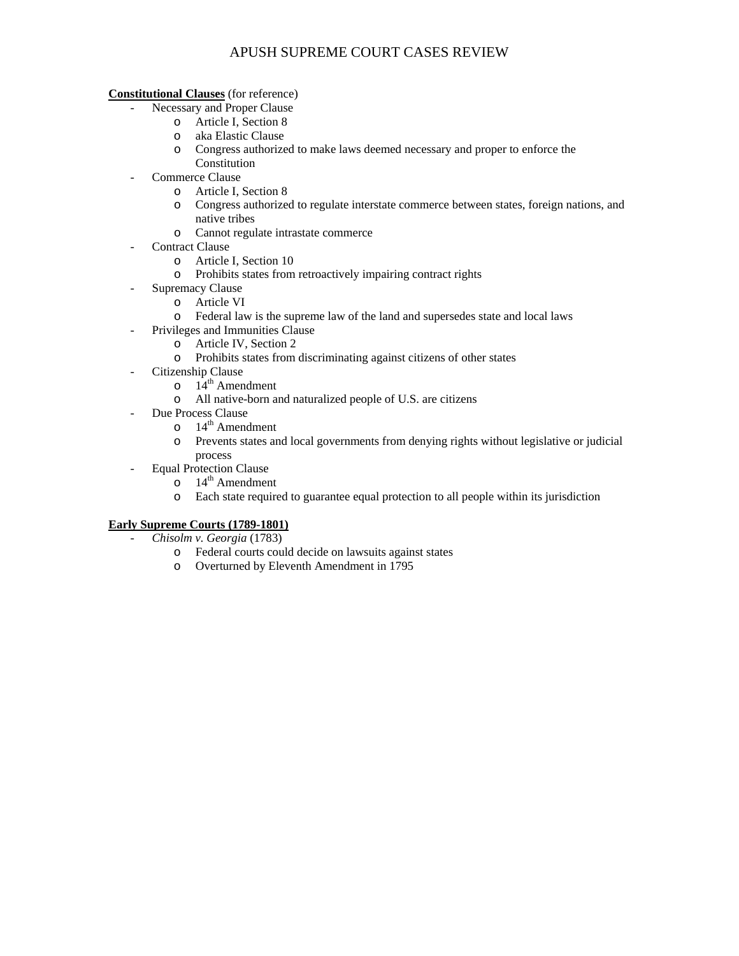**Constitutional Clauses** (for reference)

- Necessary and Proper Clause
	- o Article I, Section 8
	- o aka Elastic Clause
	- o Congress authorized to make laws deemed necessary and proper to enforce the
	- Constitution
- Commerce Clause
	- o Article I, Section 8
	- o Congress authorized to regulate interstate commerce between states, foreign nations, and native tribes
	- o Cannot regulate intrastate commerce
- Contract Clause
	- o Article I, Section 10
	- o Prohibits states from retroactively impairing contract rights
	- Supremacy Clause
		- o Article VI
		- o Federal law is the supreme law of the land and supersedes state and local laws
	- Privileges and Immunities Clause
		- o Article IV, Section 2
		- o Prohibits states from discriminating against citizens of other states
	- Citizenship Clause
		- $\overline{a}$  14<sup>th</sup> Amendment
		- o All native-born and naturalized people of U.S. are citizens
	- Due Process Clause
		- $\circ$  14<sup>th</sup> Amendment
		- o Prevents states and local governments from denying rights without legislative or judicial process
	- Equal Protection Clause
		- $\circ$  14<sup>th</sup> Amendment
		- o Each state required to guarantee equal protection to all people within its jurisdiction

## **Early Supreme Courts (1789-1801)**

- *Chisolm v. Georgia* (1783)
	- o Federal courts could decide on lawsuits against states
	- o Overturned by Eleventh Amendment in 1795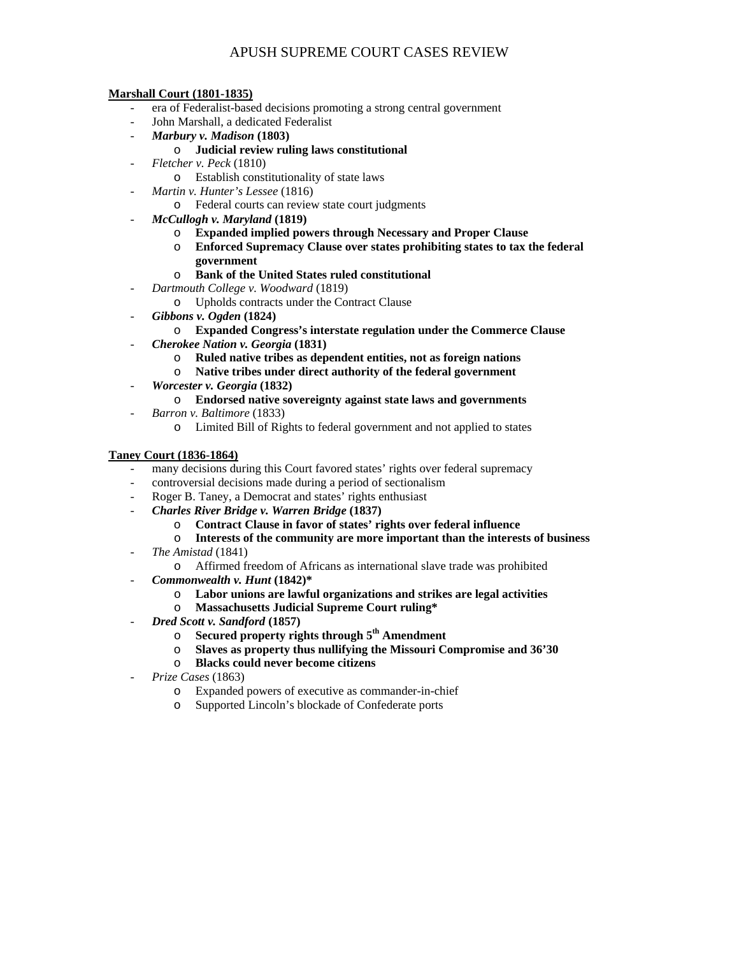### **Marshall Court (1801-1835)**

- era of Federalist-based decisions promoting a strong central government
- John Marshall, a dedicated Federalist
- *Marbury v. Madison* **(1803)**

## o **Judicial review ruling laws constitutional**

- *Fletcher v. Peck* (1810)
	- o Establish constitutionality of state laws
- *Martin v. Hunter's Lessee* (1816)
	- o Federal courts can review state court judgments
- *McCullogh v. Maryland* **(1819)** 
	- o **Expanded implied powers through Necessary and Proper Clause**
	- o **Enforced Supremacy Clause over states prohibiting states to tax the federal government**

### o **Bank of the United States ruled constitutional**

- *Dartmouth College v. Woodward* (1819)
	- o Upholds contracts under the Contract Clause
- *Gibbons v. Ogden* **(1824)** 
	- o **Expanded Congress's interstate regulation under the Commerce Clause**
- *Cherokee Nation v. Georgia* **(1831)** 
	- o **Ruled native tribes as dependent entities, not as foreign nations**
	- o **Native tribes under direct authority of the federal government**
- *Worcester v. Georgia* **(1832)**

## o **Endorsed native sovereignty against state laws and governments**

- *Barron v. Baltimore* (1833)
	- o Limited Bill of Rights to federal government and not applied to states

## **Taney Court (1836-1864)**

- many decisions during this Court favored states' rights over federal supremacy
- controversial decisions made during a period of sectionalism
- Roger B. Taney, a Democrat and states' rights enthusiast
- *Charles River Bridge v. Warren Bridge* **(1837)** 
	- o **Contract Clause in favor of states' rights over federal influence**
	- o **Interests of the community are more important than the interests of business**
	- *The Amistad* (1841)
		- o Affirmed freedom of Africans as international slave trade was prohibited
- *Commonwealth v. Hunt* **(1842)\*** 
	- o **Labor unions are lawful organizations and strikes are legal activities**
	- o **Massachusetts Judicial Supreme Court ruling\***
- *Dred Scott v. Sandford* **(1857)** 
	- o **Secured property rights through 5th Amendment**
	- o **Slaves as property thus nullifying the Missouri Compromise and 36'30**
	- o **Blacks could never become citizens**
- *Prize Cases* (1863)
	- o Expanded powers of executive as commander-in-chief
	- o Supported Lincoln's blockade of Confederate ports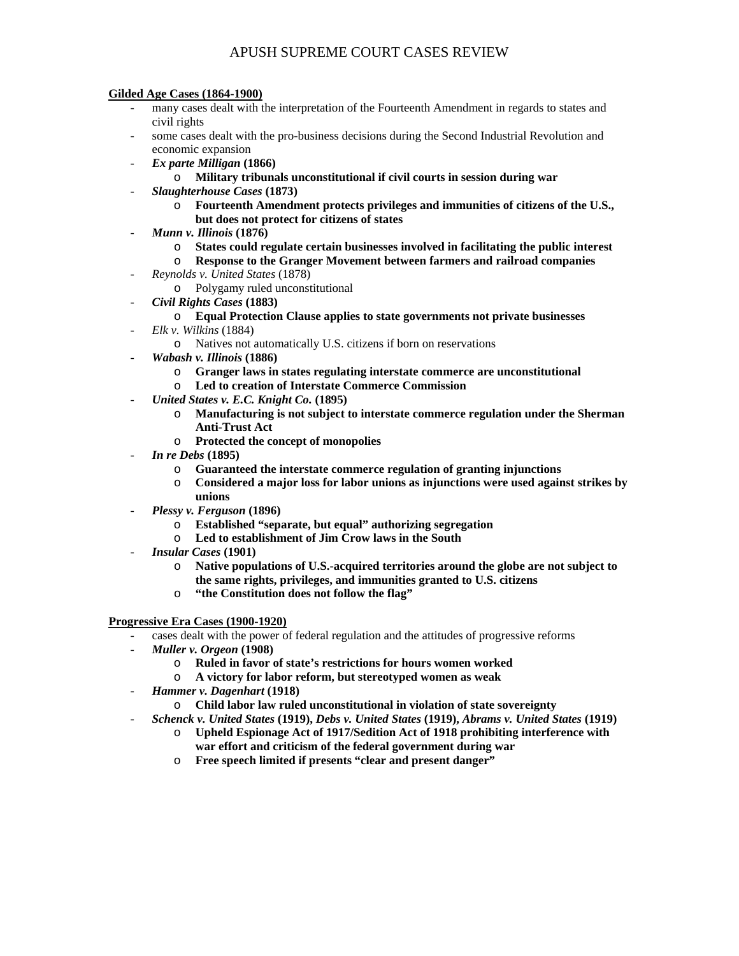#### **Gilded Age Cases (1864-1900)**

- many cases dealt with the interpretation of the Fourteenth Amendment in regards to states and civil rights
- some cases dealt with the pro-business decisions during the Second Industrial Revolution and economic expansion
- *Ex parte Milligan* **(1866)** 
	- o **Military tribunals unconstitutional if civil courts in session during war**
- *Slaughterhouse Cases* **(1873)** 
	- o **Fourteenth Amendment protects privileges and immunities of citizens of the U.S., but does not protect for citizens of states**
- *Munn v. Illinois* **(1876)** 
	- o **States could regulate certain businesses involved in facilitating the public interest**
	- o **Response to the Granger Movement between farmers and railroad companies**
	- *Reynolds v. United States* (1878)
		- o Polygamy ruled unconstitutional
- *Civil Rights Cases* **(1883)** 
	- o **Equal Protection Clause applies to state governments not private businesses**
- *Elk v. Wilkins* (1884)
	- o Natives not automatically U.S. citizens if born on reservations
- *Wabash v. Illinois* **(1886)** 
	- o **Granger laws in states regulating interstate commerce are unconstitutional**
	- o **Led to creation of Interstate Commerce Commission**
- *United States v. E.C. Knight Co.* **(1895)** 
	- o **Manufacturing is not subject to interstate commerce regulation under the Sherman Anti-Trust Act**
	- o **Protected the concept of monopolies**
- *In re Debs* **(1895)** 
	- o **Guaranteed the interstate commerce regulation of granting injunctions**
	- o **Considered a major loss for labor unions as injunctions were used against strikes by unions**
- *Plessy v. Ferguson* **(1896)** 
	- o **Established "separate, but equal" authorizing segregation**
	- o **Led to establishment of Jim Crow laws in the South**
- *Insular Cases* **(1901)** 
	- o **Native populations of U.S.-acquired territories around the globe are not subject to the same rights, privileges, and immunities granted to U.S. citizens**
	- o **"the Constitution does not follow the flag"**

**Progressive Era Cases (1900-1920)**

- cases dealt with the power of federal regulation and the attitudes of progressive reforms
- *Muller v. Orgeon* **(1908)** 
	- o **Ruled in favor of state's restrictions for hours women worked**
	- o **A victory for labor reform, but stereotyped women as weak**
- *Hammer v. Dagenhart* **(1918)** 
	- o **Child labor law ruled unconstitutional in violation of state sovereignty**
- *Schenck v. United States* **(1919),** *Debs v. United States* **(1919),** *Abrams v. United States* **(1919)** 
	- o **Upheld Espionage Act of 1917/Sedition Act of 1918 prohibiting interference with war effort and criticism of the federal government during war**
	- o **Free speech limited if presents "clear and present danger"**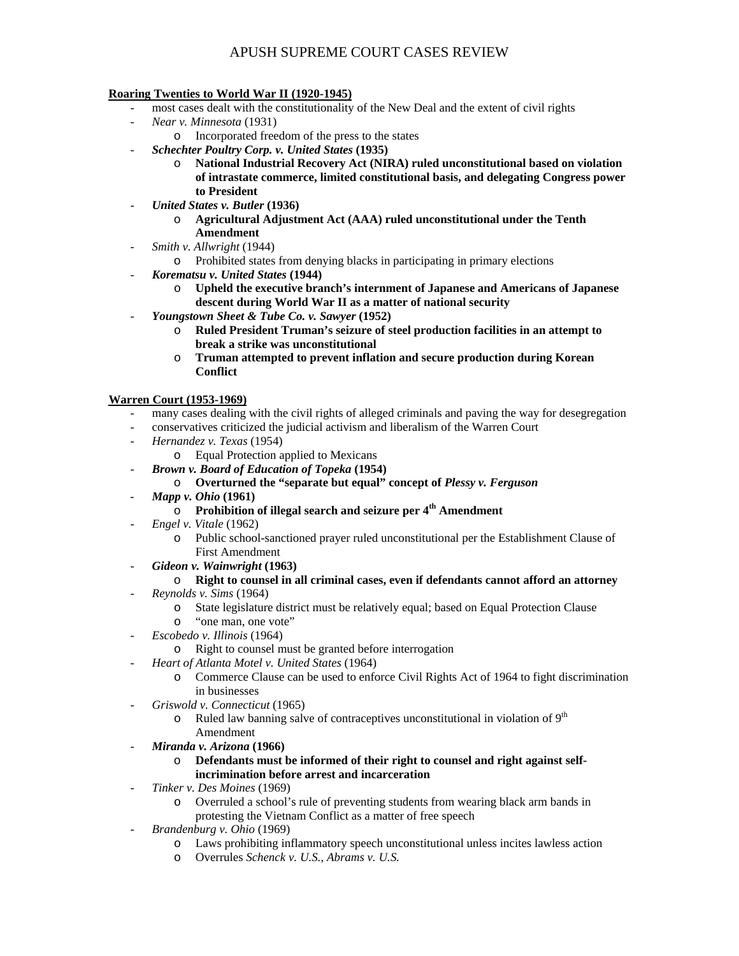### **Roaring Twenties to World War II (1920-1945)**

- most cases dealt with the constitutionality of the New Deal and the extent of civil rights
- *Near v. Minnesota* (1931)
- o Incorporated freedom of the press to the states
- *Schechter Poultry Corp. v. United States* **(1935)** 
	- o **National Industrial Recovery Act (NIRA) ruled unconstitutional based on violation of intrastate commerce, limited constitutional basis, and delegating Congress power to President**
- *United States v. Butler* **(1936)** 
	- o **Agricultural Adjustment Act (AAA) ruled unconstitutional under the Tenth Amendment**
- *Smith v. Allwright* (1944)
	- o Prohibited states from denying blacks in participating in primary elections
	- *Korematsu v. United States* **(1944)** 
		- o **Upheld the executive branch's internment of Japanese and Americans of Japanese descent during World War II as a matter of national security**
- *Youngstown Sheet & Tube Co. v. Sawyer* **(1952)** 
	- o **Ruled President Truman's seizure of steel production facilities in an attempt to break a strike was unconstitutional**
	- o **Truman attempted to prevent inflation and secure production during Korean Conflict**

## **Warren Court (1953-1969)**

- many cases dealing with the civil rights of alleged criminals and paving the way for desegregation
- conservatives criticized the judicial activism and liberalism of the Warren Court
- *Hernandez v. Texas* (1954)
	- o Equal Protection applied to Mexicans
- *Brown v. Board of Education of Topeka* **(1954)** 
	- o **Overturned the "separate but equal" concept of** *Plessy v. Ferguson*
- *Mapp v. Ohio* **(1961)** 
	- o **Prohibition of illegal search and seizure per 4th Amendment**
- *Engel v. Vitale* (1962)
	- o Public school-sanctioned prayer ruled unconstitutional per the Establishment Clause of First Amendment
- *Gideon v. Wainwright* **(1963)** 
	- o **Right to counsel in all criminal cases, even if defendants cannot afford an attorney**
	- *Reynolds v. Sims* (1964)
		- o State legislature district must be relatively equal; based on Equal Protection Clause
		- o "one man, one vote"
- *Escobedo v. Illinois* (1964)
	- o Right to counsel must be granted before interrogation
- *Heart of Atlanta Motel v. United States* (1964)
	- o Commerce Clause can be used to enforce Civil Rights Act of 1964 to fight discrimination in businesses
- *Griswold v. Connecticut* (1965)
	- $\circ$  Ruled law banning salve of contraceptives unconstitutional in violation of 9<sup>th</sup> Amendment
- *Miranda v. Arizona* **(1966)** 
	- o **Defendants must be informed of their right to counsel and right against selfincrimination before arrest and incarceration**
- *Tinker v. Des Moines* (1969)
	- o Overruled a school's rule of preventing students from wearing black arm bands in protesting the Vietnam Conflict as a matter of free speech
- *Brandenburg v. Ohio* (1969)
	- o Laws prohibiting inflammatory speech unconstitutional unless incites lawless action
	- o Overrules *Schenck v. U.S.*, *Abrams v. U.S.*